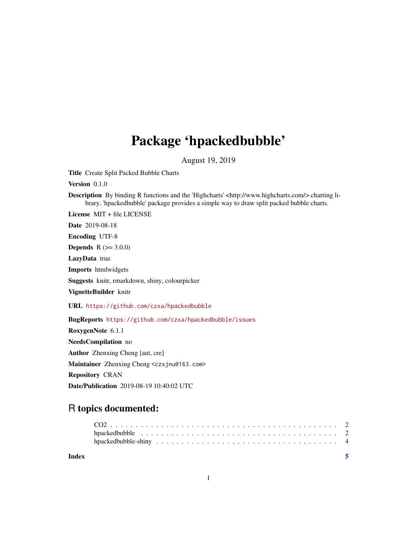# Package 'hpackedbubble'

August 19, 2019

Title Create Split Packed Bubble Charts

Version 0.1.0

Description By binding R functions and the 'Highcharts' <http://www.highcharts.com/> charting library, 'hpackedbubble' package provides a simple way to draw split packed bubble charts.

License MIT + file LICENSE

Date 2019-08-18

Encoding UTF-8

**Depends**  $R (= 3.0.0)$ 

LazyData true

Imports htmlwidgets

Suggests knitr, rmarkdown, shiny, colourpicker

VignetteBuilder knitr

URL <https://github.com/czxa/hpackedbubble>

BugReports <https://github.com/czxa/hpackedbubble/issues> RoxygenNote 6.1.1 NeedsCompilation no Author Zhenxing Cheng [aut, cre] Maintainer Zhenxing Cheng <czxjnu@163.com> Repository CRAN Date/Publication 2019-08-19 10:40:02 UTC

# R topics documented:

**Index** [5](#page-4-0). The second state of the second state of the second state of the second state of the second state of the second state of the second state of the second state of the second state of the second state of the second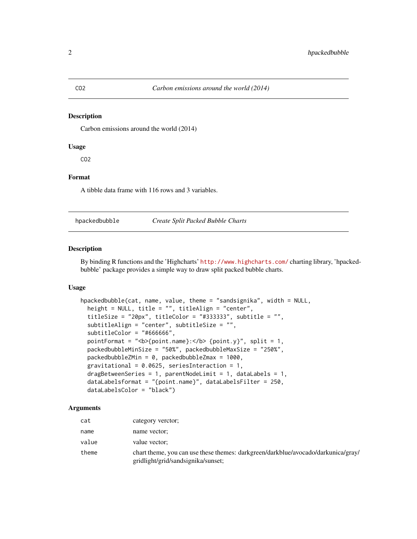### <span id="page-1-0"></span>Description

Carbon emissions around the world (2014)

### Usage

CO2

### Format

A tibble data frame with 116 rows and 3 variables.

hpackedbubble *Create Split Packed Bubble Charts*

### Description

By binding R functions and the 'Highcharts' <http://www.highcharts.com/> charting library, 'hpackedbubble' package provides a simple way to draw split packed bubble charts.

## Usage

```
hpackedbubble(cat, name, value, theme = "sandsignika", width = NULL,
 height = NULL, title = "", titleAlign = "center",
 titleSize = "20px", titleColor = "#333333", subtitle = "",
  subtitleAlign = "center", subtitleSize = "",
  subtitleColor = "#666666",
  pointFormat = "<b>{point.name}:</b> {point.y}", split = 1,
 packedbubbleMinSize = "50%", packedbubbleMaxSize = "250%",
 packedbubbleZMin = 0, packedbubbleZmax = 1000,
  gravitational = 0.0625, seriesInteraction = 1,
  dragBetweenSeries = 1, parentNodeLimit = 1, dataLabels = 1,
  dataLabelsformat = "{point.name}", dataLabelsFilter = 250,
  dataLabelsColor = "black")
```
## Arguments

| cat   | category verctor;                                                                                                       |
|-------|-------------------------------------------------------------------------------------------------------------------------|
| name  | name vector;                                                                                                            |
| value | value vector;                                                                                                           |
| theme | chart theme, you can use these themes: darkgreen/darkblue/avocado/darkunica/gray/<br>gridlight/grid/sandsignika/sunset; |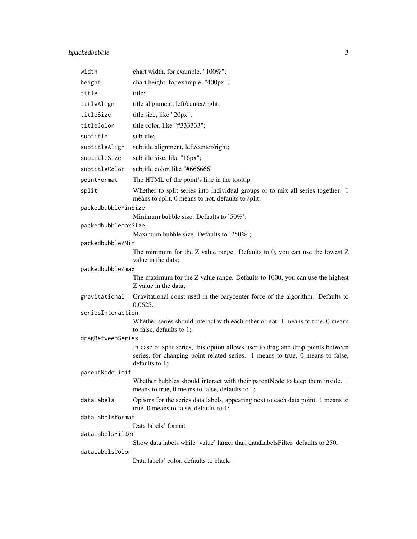# hpackedbubble 3

| width               | chart width, for example, "100%";                                                                                                     |  |  |
|---------------------|---------------------------------------------------------------------------------------------------------------------------------------|--|--|
| height              | chart height, for example, "400px";                                                                                                   |  |  |
| title               | title;                                                                                                                                |  |  |
| titleAlign          | title alignment, left/center/right;                                                                                                   |  |  |
| titleSize           | title size, like "20px";                                                                                                              |  |  |
| titleColor          | title color, like "#333333";                                                                                                          |  |  |
| subtitle            | subtitle;                                                                                                                             |  |  |
| subtitleAlign       | subtitle alignment, left/center/right;                                                                                                |  |  |
| subtitleSize        | subtitle size, like "16px";                                                                                                           |  |  |
| subtitleColor       | subtitle color, like "#666666"                                                                                                        |  |  |
| pointFormat         | The HTML of the point's line in the tooltip.                                                                                          |  |  |
| split               | Whether to split series into individual groups or to mix all series together. 1<br>means to split, 0 means to not, defaults to split; |  |  |
| packedbubbleMinSize |                                                                                                                                       |  |  |
|                     | Minimum bubble size. Defaults to '50%';                                                                                               |  |  |
| packedbubbleMaxSize | Maximum bubble size. Defaults to '250%';                                                                                              |  |  |
| packedbubbleZMin    |                                                                                                                                       |  |  |
|                     | The minimum for the $Z$ value range. Defaults to 0, you can use the lowest $Z$<br>value in the data;                                  |  |  |
| packedbubbleZmax    |                                                                                                                                       |  |  |
|                     | The maximum for the Z value range. Defaults to 1000, you can use the highest<br>Z value in the data;                                  |  |  |
| gravitational       | Gravitational const used in the barycenter force of the algorithm. Defaults to<br>0.0625.                                             |  |  |
| seriesInteraction   |                                                                                                                                       |  |  |
|                     | Whether series should interact with each other or not. 1 means to true, 0 means<br>to false, defaults to 1;                           |  |  |
| dragBetweenSeries   | In case of split series, this option allows user to drag and drop points between                                                      |  |  |
|                     | series, for changing point related series. 1 means to true, 0 means to false,<br>defaults to 1;                                       |  |  |
| parentNodeLimit     |                                                                                                                                       |  |  |
|                     | Whether bubbles should interact with their parentNode to keep them inside. 1<br>means to true, 0 means to false, defaults to 1;       |  |  |
| dataLabels          | Options for the series data labels, appearing next to each data point. 1 means to<br>true, 0 means to false, defaults to 1;           |  |  |
| dataLabelsformat    |                                                                                                                                       |  |  |
| dataLabelsFilter    | Data labels' format                                                                                                                   |  |  |
|                     | Show data labels while 'value' larger than dataLabelsFilter. defaults to 250.                                                         |  |  |
| dataLabelsColor     |                                                                                                                                       |  |  |
|                     | Data labels' color, defaults to black.                                                                                                |  |  |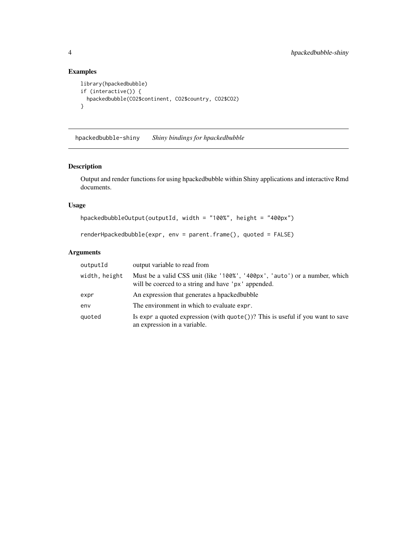# Examples

```
library(hpackedbubble)
if (interactive()) {
  hpackedbubble(CO2$continent, CO2$country, CO2$CO2)
}
```
hpackedbubble-shiny *Shiny bindings for hpackedbubble*

# Description

Output and render functions for using hpackedbubble within Shiny applications and interactive Rmd documents.

### Usage

```
hpackedbubbleOutput(outputId, width = "100%", height = "400px")
```
renderHpackedbubble(expr, env = parent.frame(), quoted = FALSE)

# Arguments

| outputId      | output variable to read from                                                                                                      |
|---------------|-----------------------------------------------------------------------------------------------------------------------------------|
| width, height | Must be a valid CSS unit (like '100%', '400px', 'auto') or a number, which<br>will be coerced to a string and have 'px' appended. |
| expr          | An expression that generates a hpacked bubble                                                                                     |
| env           | The environment in which to evaluate expr.                                                                                        |
| quoted        | Is expr a quoted expression (with $\text{quote}()$ )? This is useful if you want to save<br>an expression in a variable.          |

<span id="page-3-0"></span>